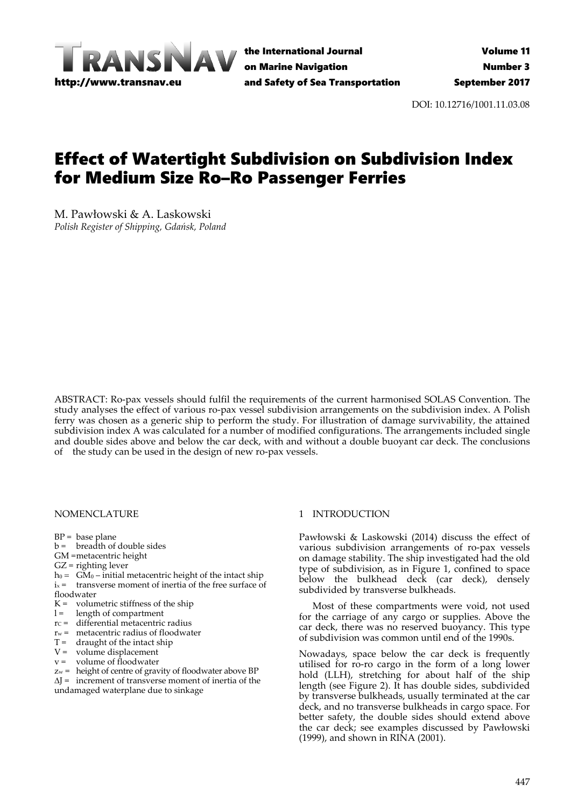

the International Journal on Marine Navigation and Safety of Sea Transportation

DOI: 10.12716/1001.11.03.08

# Effect of Watertight Subdivision on Subdivision Index for Medium Size Ro–Ro Passenger Ferries

M. Pawłowski & A. Laskowski *Polish Register of Shipping, Gdańsk, Poland*

ABSTRACT: Ro‐pax vessels should fulfil the requirements of the current harmonised SOLAS Convention. The study analyses the effect of various ro‐pax vessel subdivision arrangements on the subdivision index. A Polish ferry was chosen as a generic ship to perform the study. For illustration of damage survivability, the attained subdivision index A was calculated for a number of modified configurations. The arrangements included single and double sides above and below the car deck, with and without a double buoyant car deck. The conclusions of the study can be used in the design of new ro‐pax vessels.

### NOMENCLATURE

 $BP = base plane$ 

- $b =$  breadth of double sides
- GM =metacentric height
- GZ = righting lever
- $h_0 = \overrightarrow{GM}_0 \overrightarrow{initial}$  metacentric height of the intact ship
- $i_x$  = transverse moment of inertia of the free surface of floodwater
- $K =$  volumetric stiffness of the ship
- l = length of compartment
- $rc =$  differential metacentric radius
- $r_w$  = metacentric radius of floodwater
- $T =$  draught of the intact ship
- $V =$  volume displacement
- $v =$  volume of floodwater
- zw = height of centre of gravity of floodwater above BP
- $\Delta I$  = increment of transverse moment of inertia of the

undamaged waterplane due to sinkage

## 1 INTRODUCTION

Pawłowski & Laskowski (2014) discuss the effect of various subdivision arrangements of ro‐pax vessels on damage stability. The ship investigated had the old type of subdivision, as in Figure 1, confined to space below the bulkhead deck (car deck), densely subdivided by transverse bulkheads.

Most of these compartments were void, not used for the carriage of any cargo or supplies. Above the car deck, there was no reserved buoyancy. This type of subdivision was common until end of the 1990s.

Nowadays, space below the car deck is frequently utilised for ro-ro cargo in the form of a long lower hold (LLH), stretching for about half of the ship length (see Figure 2). It has double sides, subdivided by transverse bulkheads, usually terminated at the car deck, and no transverse bulkheads in cargo space. For better safety, the double sides should extend above the car deck; see examples discussed by Pawłowski (1999), and shown in RINA (2001).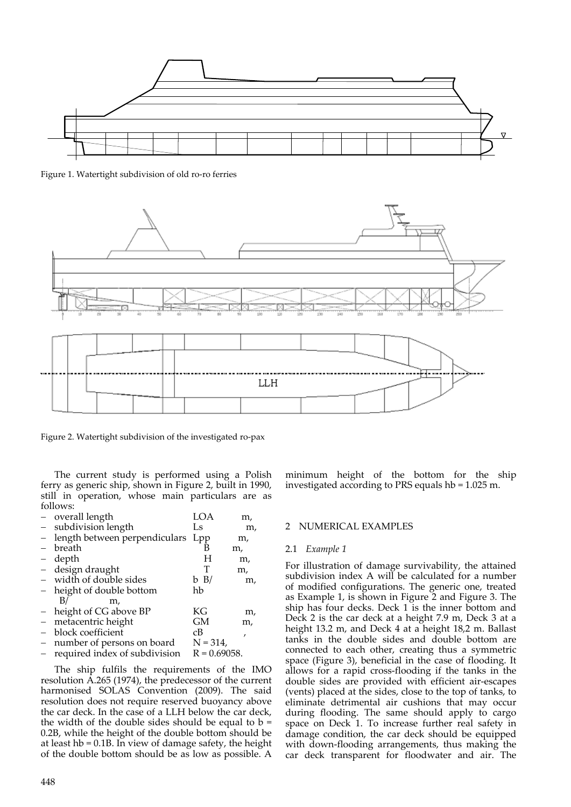

Figure 1. Watertight subdivision of old ro-ro ferries



Figure 2. Watertight subdivision of the investigated ro‐pax

The current study is performed using a Polish ferry as generic ship, shown in Figure 2, built in 1990, still in operation, whose main particulars are as follows:

|                          | - overall length                    | LOA             | m, |
|--------------------------|-------------------------------------|-----------------|----|
| $\equiv$                 | subdivision length                  | Ls              | m, |
|                          | - length between perpendiculars Lpp |                 | m, |
|                          | breath                              | в               | m, |
|                          | depth                               | H               | m, |
|                          | - design draught                    | Т               | m, |
|                          | - width of double sides             | b B/            | m, |
|                          | - height of double bottom           | hb              |    |
|                          | B/<br>m,                            |                 |    |
|                          | - height of CG above BP             | КG              | m, |
| $\overline{\phantom{0}}$ | metacentric height                  | GМ              | m, |
|                          | block coefficient                   | cВ              | ,  |
| $\qquad \qquad -$        | number of persons on board          | $N = 314$ ,     |    |
|                          | required index of subdivision       | $R = 0.69058$ . |    |
|                          |                                     |                 |    |

The ship fulfils the requirements of the IMO resolution A.265 (1974), the predecessor of the current harmonised SOLAS Convention (2009). The said resolution does not require reserved buoyancy above the car deck. In the case of a LLH below the car deck, the width of the double sides should be equal to  $b =$ 0.2B, while the height of the double bottom should be at least hb = 0.1B. In view of damage safety, the height of the double bottom should be as low as possible. A

minimum height of the bottom for the ship investigated according to PRS equals hb = 1.025 m.

### 2 NUMERICAL EXAMPLES

#### 2.1 *Example 1*

For illustration of damage survivability, the attained subdivision index A will be calculated for a number of modified configurations. The generic one, treated as Example 1, is shown in Figure 2 and Figure 3. The ship has four decks. Deck 1 is the inner bottom and Deck 2 is the car deck at a height 7.9 m, Deck 3 at a height 13.2 m, and Deck 4 at a height 18,2 m. Ballast tanks in the double sides and double bottom are connected to each other, creating thus a symmetric space (Figure 3), beneficial in the case of flooding. It allows for a rapid cross‐flooding if the tanks in the double sides are provided with efficient air‐escapes (vents) placed at the sides, close to the top of tanks, to eliminate detrimental air cushions that may occur during flooding. The same should apply to cargo space on Deck 1. To increase further real safety in damage condition, the car deck should be equipped with down-flooding arrangements, thus making the car deck transparent for floodwater and air. The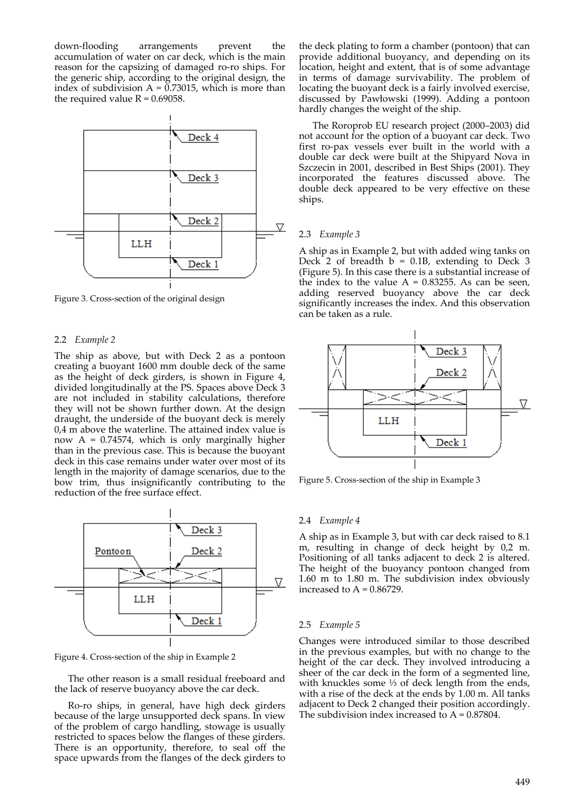down‐flooding arrangements prevent the accumulation of water on car deck, which is the main reason for the capsizing of damaged ro‐ro ships. For the generic ship, according to the original design, the index of subdivision  $A = 0.73015$ , which is more than the required value  $R = 0.69058$ .



Figure 3. Cross‐section of the original design

## 2.2 *Example 2*

The ship as above, but with Deck 2 as a pontoon creating a buoyant 1600 mm double deck of the same as the height of deck girders, is shown in Figure 4, divided longitudinally at the PS. Spaces above Deck 3 are not included in stability calculations, therefore they will not be shown further down. At the design draught, the underside of the buoyant deck is merely 0,4 m above the waterline. The attained index value is now  $A = 0.74574$ , which is only marginally higher than in the previous case. This is because the buoyant deck in this case remains under water over most of its length in the majority of damage scenarios, due to the bow trim, thus insignificantly contributing to the reduction of the free surface effect.



Figure 4. Cross‐section of the ship in Example 2

The other reason is a small residual freeboard and the lack of reserve buoyancy above the car deck.

Ro‐ro ships, in general, have high deck girders because of the large unsupported deck spans. In view of the problem of cargo handling, stowage is usually restricted to spaces below the flanges of these girders. There is an opportunity, therefore, to seal off the space upwards from the flanges of the deck girders to the deck plating to form a chamber (pontoon) that can provide additional buoyancy, and depending on its location, height and extent, that is of some advantage in terms of damage survivability. The problem of locating the buoyant deck is a fairly involved exercise, discussed by Pawłowski (1999). Adding a pontoon hardly changes the weight of the ship.

The Roroprob EU research project (2000–2003) did not account for the option of a buoyant car deck. Two first ro‐pax vessels ever built in the world with a double car deck were built at the Shipyard Nova in Szczecin in 2001, described in Best Ships (2001). They incorporated the features discussed above. The double deck appeared to be very effective on these ships.

### 2.3 *Example 3*

A ship as in Example 2, but with added wing tanks on Deck 2 of breadth  $b = 0.1B$ , extending to Deck 3 (Figure 5). In this case there is a substantial increase of the index to the value  $A = 0.83255$ . As can be seen, adding reserved buoyancy above the car deck significantly increases the index. And this observation can be taken as a rule.



Figure 5. Cross‐section of the ship in Example 3

#### 2.4 *Example 4*

A ship as in Example 3, but with car deck raised to 8.1 m, resulting in change of deck height by 0,2 m. Positioning of all tanks adjacent to deck 2 is altered. The height of the buoyancy pontoon changed from 1.60 m to 1.80 m. The subdivision index obviously increased to  $A = 0.86729$ .

#### 2.5 *Example 5*

Changes were introduced similar to those described in the previous examples, but with no change to the height of the car deck. They involved introducing a sheer of the car deck in the form of a segmented line, with knuckles some ⅓ of deck length from the ends, with a rise of the deck at the ends by 1.00 m. All tanks adjacent to Deck 2 changed their position accordingly. The subdivision index increased to  $A = 0.87804$ .